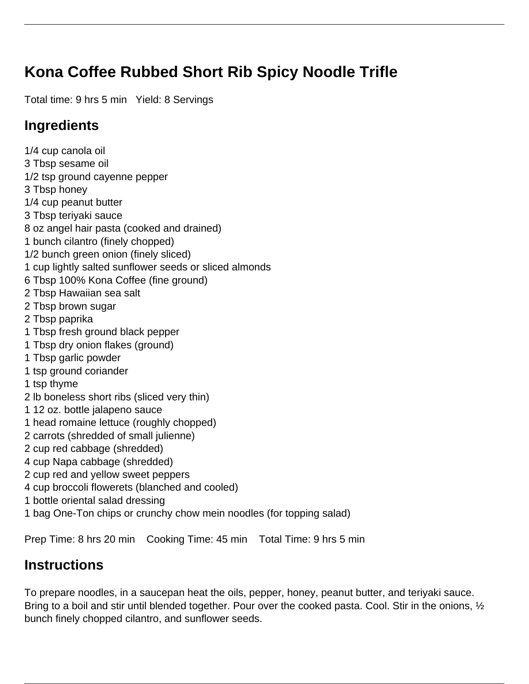## **Kona Coffee Rubbed Short Rib Spicy Noodle Trifle**

Total time: 9 hrs 5 min Yield: 8 Servings

## **Ingredients**

1/4 cup canola oil 3 Tbsp sesame oil 1/2 tsp ground cayenne pepper 3 Tbsp honey 1/4 cup peanut butter 3 Tbsp teriyaki sauce 8 oz angel hair pasta (cooked and drained) 1 bunch cilantro (finely chopped) 1/2 bunch green onion (finely sliced) 1 cup lightly salted sunflower seeds or sliced almonds 6 Tbsp 100% Kona Coffee (fine ground) 2 Tbsp Hawaiian sea salt 2 Tbsp brown sugar 2 Tbsp paprika 1 Tbsp fresh ground black pepper 1 Tbsp dry onion flakes (ground) 1 Tbsp garlic powder 1 tsp ground coriander 1 tsp thyme 2 lb boneless short ribs (sliced very thin) 1 12 oz. bottle jalapeno sauce 1 head romaine lettuce (roughly chopped) 2 carrots (shredded of small julienne) 2 cup red cabbage (shredded) 4 cup Napa cabbage (shredded) 2 cup red and yellow sweet peppers 4 cup broccoli flowerets (blanched and cooled) 1 bottle oriental salad dressing 1 bag One-Ton chips or crunchy chow mein noodles (for topping salad)

Prep Time: 8 hrs 20 min Cooking Time: 45 min Total Time: 9 hrs 5 min

## **Instructions**

To prepare noodles, in a saucepan heat the oils, pepper, honey, peanut butter, and teriyaki sauce. Bring to a boil and stir until blended together. Pour over the cooked pasta. Cool. Stir in the onions,  $\frac{1}{2}$ bunch finely chopped cilantro, and sunflower seeds.